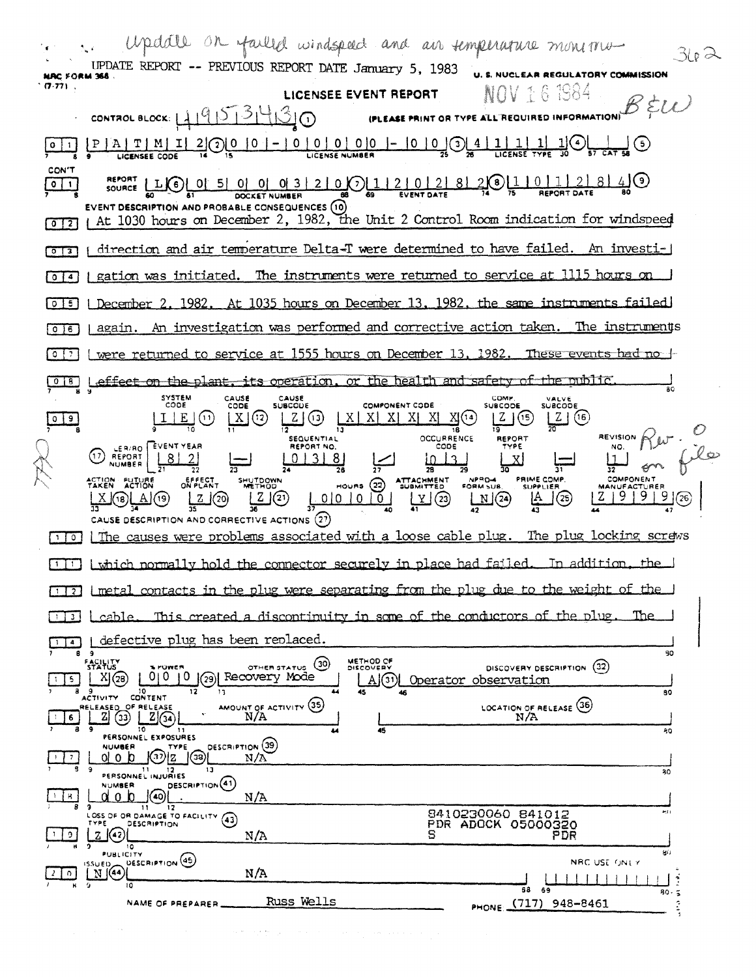Updall on failed windspeed and air simperarure mone mu-34 A UPDATE REPORT -- PREVIOUS REPORT DATE January 5, 1983 **U. S. NUCLEAR REGULATORY COMMISSION NAC FORM 366.**  $(7.77)$ . NOV 16 1984 LICENSEE EVENT REPORT  $\mathcal{B}$  EW CONTROL BLOCK:  $119573430$ (PLEASE PRINT OR TYPE ALL REQUIRED INF  $\frac{1}{30}$   $\bigcirc$   $\bigcirc$   $\bigcirc$   $\bigcirc$   $\bigcirc$  $-1010100-1-100204$  $P | A | T | M | I$  $|1|$ <u>1l</u> <u>2000 0</u>  $|0|1|$ **LICENSEE CODE** CON'T REPORT | LIC | 0| 5| 0| 0| 0| 3| 2| 0| 0| 1| 2| 0| 2| 8|  $20110112840$  $\boxed{0}$ DOCKET NUMBER EVENT DESCRIPTION AND PROBABLE CONSEQUENCES (10) At 1030 hours on December 2, 1982, the Unit 2 Control Room indication for windspeed  $\sqrt{0}$ direction and air temperature Delta-T were determined to have failed. An investi-1  $\sqrt{2}$ gation was initiated. The instruments were returned to service at 1115 hours on  $\sqrt{0}$ 1 December 2, 1982. At 1035 hours on December 13, 1982, the same instruments failed  $\sqrt{25}$ An investigation was performed and corrective action taken. The instruments  $\sqrt{16}$ again. were returned to service at 1555 hours on December 13, 1982. These events had no + effect on the plant, its operation, or the health and safety of the public.  $\overline{o}$   $\overline{13}$ SYSTEM<br>CODE CAUSE<br>SUBCOUE CAUSE<br>CODE COMP.<br>SUBCODE VALVE<br>SUBCODE COMPONENT CODE  $Z(3)$  $X[X|X]X$  $X(\Omega)$  $Z(5)$  $\frac{2}{20}$  (6)  $\mid X \mid (2)$  $09$  $|I|E|(0)$ 18 **OCCURRENCE REVISION**  $k$ **SEQUENTIAL** REPORT LER/RO FEVENT YEAR REPORT NO. CODE (17) REPORT  $|8|2|$  $|0|3|8|$  $1013$ Ξī PRIME COMP.<br>SUPPLIER EFFECT<br>ON PLANT SHUTDOWN ATTACHMENT<br>SUBMITTED ACTION FUTURE<br>TAKEN ACTION  $(22)$ HOURS  $L2(20)$  $L(\overline{2})$  $|Z|9|9|$ A  $Y(23)$  $N(24)$  $| 0001010 |$  $(\mathbb{A})$  $(\mathbb{A})$  $(\mathbb{A})$  $\rfloor$ (25)  $\overline{36}$ CAUSE DESCRIPTION AND CORRECTIVE ACTIONS (27) The causes were problems associated with a loose cable plug. The plug locking screws  $\sqrt{10}$ [1] Lyhich normally hold the connector securely in place had failed. In addition. the l <u>Limetal contacts in the plug were separating from the plug due to the weight of the l</u>  $\sqrt{1}$ cable. This created a discontinuity in some of the conductors of the plug. ™re  $\sqrt{3}$ defective plug has been replaced.  $\Box$ 50  $\cdot$ я METHOD OF **FACILITY** OTHER STATUS (30) DISCOVERY DESCRIPTION (32) POWER  $X(\mathcal{B})$ AGI Operator observation  $\frac{1}{5}$ ACTIVITY CONTENT  $\overline{17}$ 80 AMOUNT OF ACTIVITY (35) LOCATION OF RELEASE (36) RELEASED OF RELEASE  $\sqrt{6}$  $N/A$  $\overline{10}$ 45 80 PERSONNEL EXPOSURES **DESCRIPTION** (39) **NUMBER** TYPE  $\frac{1}{2}$  $N/A$ PERSONNEL INJURIES O O D O DESCRIPTION (4)  $\overline{30}$  $N/A$  $\frac{1}{2}$  R **9** 11 LZ<br>LOSS OF OR DAMAGE TO FACILITY (43) 8410230060 841012 P. DESCRIPTION  $\left[\frac{1}{2}\right]$  $\frac{1}{2}$  $N/A$ S PDR  $\overline{10}$ PUBLICITY gó.  $\mathbb{E}$  (44) DESCRIPTION (45) NRC USE ONLY  $2\sqrt{0}$  $N/A$ ۱ō  $69$ Ŧа  $80.$  $\tilde{\bullet}$ PHONE (717) 948-8461 Russ Wells NAME OF PREPARER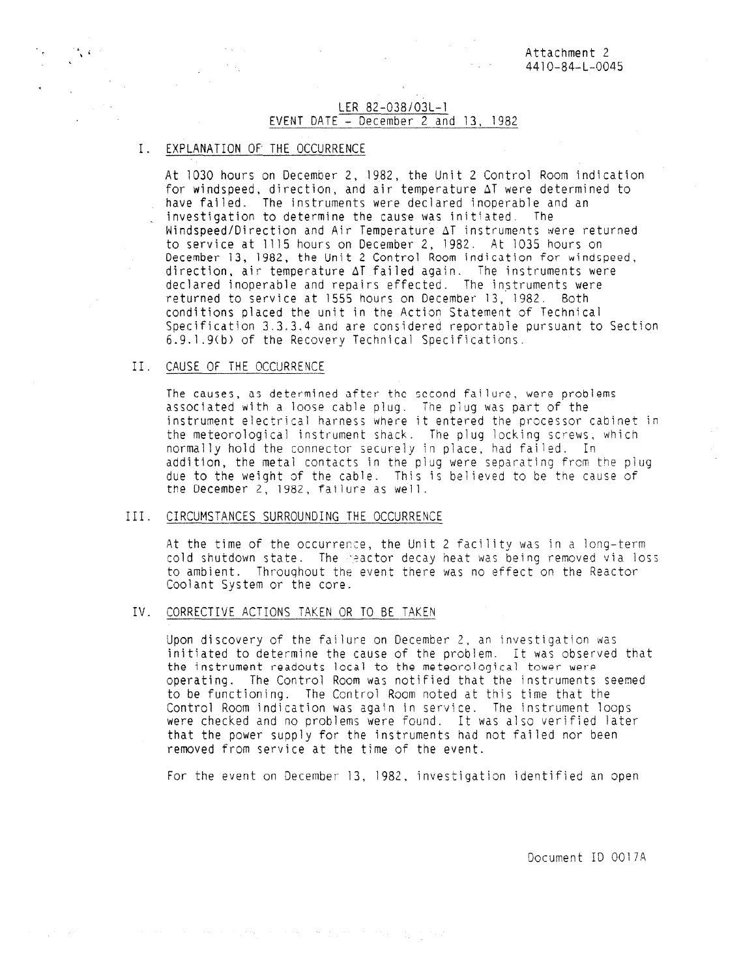#### LER 82-038/03L-1 EVENT DATE  $\div$  December 2 and 13, 1982

# I. EXPLANATION OF THE OCCURRENCE

 $\sim 10^7$ 

At 1030 hours on December 2, 1982, the Unit 2 Control Room indication for windspeed, direction, and air temperature  $\Delta T$  were determined to have failed. The instruments were declared inoperable and an investigation to determine the cause was initiated. The Windspeed/Direction and Air Temperature AT instruments were returned to service at 1115 hours on December 2, 1982. At 1035 hours on December 13, 1982, the Unit 2 Control Room indication for windspeed, direction, air temperature AT failed again. The instruments were declared inoperable and repairs effected. The instruments were returned to service at 1555 hours on December 13, 1982. Both conditions placed the unit in the Action Statement of Technical Specification 3.3.3.4 and are considered reportable pursuant to Section 6.9.1.9(b) of the Recovery Technical Specifications.

## II. CAUSE OF THE OCCURRENCE

The causes, as determined after the second failure, were problems associated with a loose cable plug. The plug was part of the instrument electrical harness where it entered the processor cabinet in the meteorological instrument shack. The plug locking screws, which normally hold the connector securely in place, had failed. In addition, the metal contacts in the plug were separating from the plug due to the weight of the cable. This is believed to be the cause of the December 2, 1982, failure as well.

## III. CIRCUMSTANCES SURROUNDING THE OCCURRENCE

At the time of the occurrence, the Unit 2 facility was in a long-term cold shutdown state. The Seactor decay heat was being removed via loss to ambient. Throughout the event there was no effect on the Reactor Coolant System or the core.

## IV. CORRECTIVE ACTIONS TAKEN OR TO BE TAKEN

a sa bandar da sa baile a baile a tarafar a tarafar a tarafar a tarafar a tarafar a tarafar a tarafar a tarafa

Upon discovery of the failure on December 2, an investigation was initiated to determine the cause of the problem. It was observed that the instrument readouts local to the meteorological tower were operating. The Control Room was notified that the instruments seemed to be functioning. The Control Room noted at this time that the Control Room indication was again in service. The instrument loops were checked and no problems were found. It was also verified later that the power supply for the instruments had not failed nor been removed from service at the time of the event.

For the event on December 13, 1982, investigation identified an open

Document ID 0017A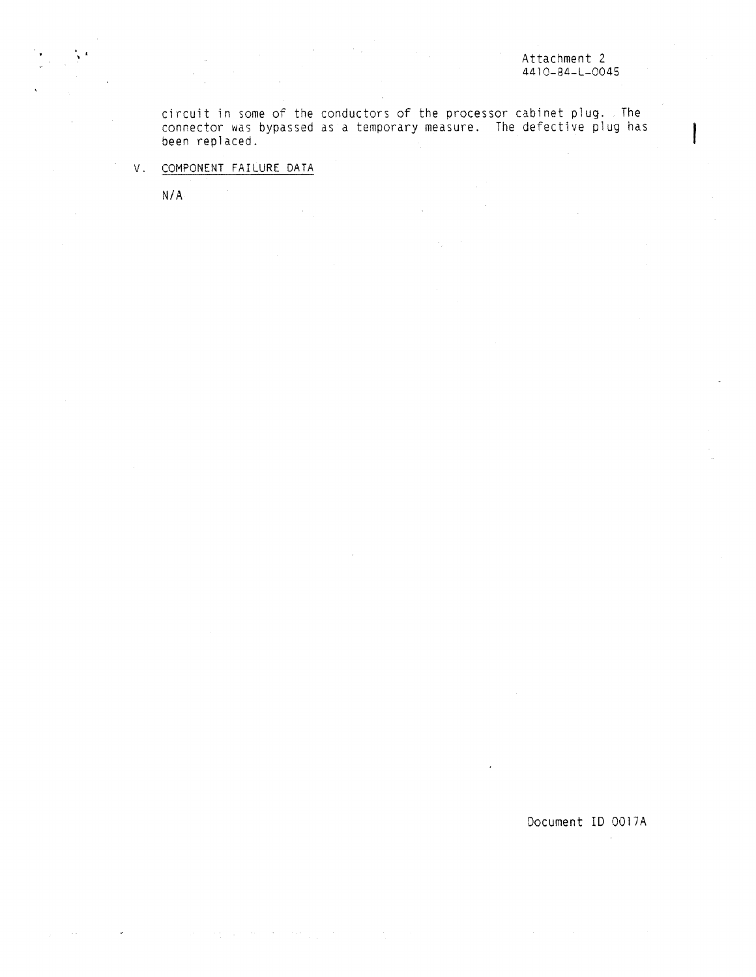circuit in some of the conductors of the processor cabinet plug. The connector was bypassed as a temporary measure. The defective plug has been replaced.

V. COMPONENT FAILURE DATA

 $\gamma_1\mu_1\gamma_1\gamma_2\gamma_3$  and  $\gamma_1\gamma_2\gamma_3\gamma_4\gamma_5$  and

 $\omega$ 

N/A

Document ID 0017A

 $\bar{\mathbf{z}}$